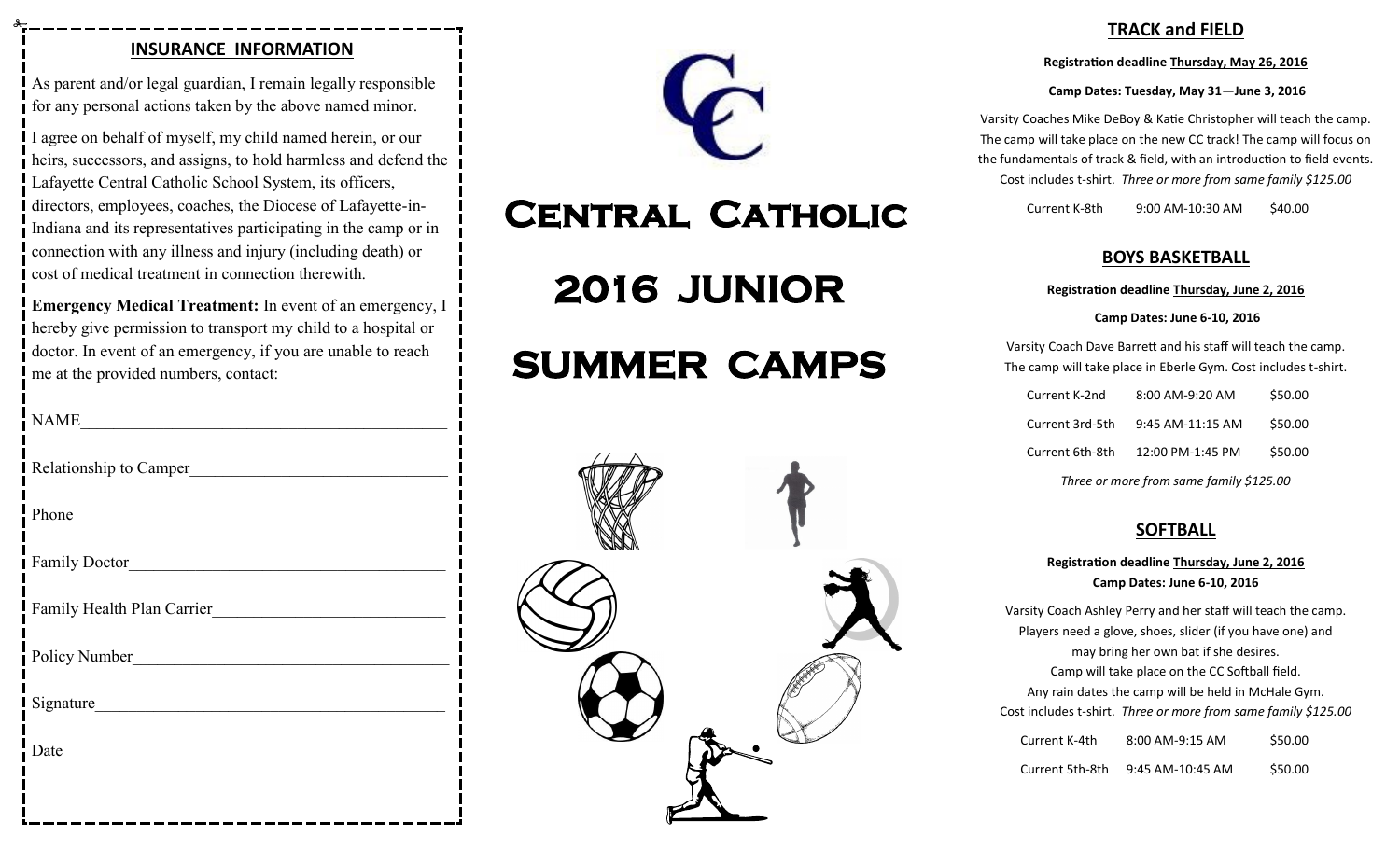## **INSURANCE INFORMATION**

As parent and/or legal guardian, I remain legally responsible for any personal actions taken by the above named minor.

I agree on behalf of myself, my child named herein, or our heirs, successors, and assigns, to hold harmless and defend the Lafayette Central Catholic School System, its officers, directors, employees, coaches, the Diocese of Lafayette-in-Indiana and its representatives participating in the camp or in connection with any illness and injury (including death) or cost of medical treatment in connection therewith.

**Emergency Medical Treatment:** In event of an emergency, I hereby give permission to transport my child to a hospital or doctor. In event of an emergency, if you are unable to reach me at the provided numbers, contact:

| <b>NAME</b>                |
|----------------------------|
| Relationship to Camper     |
| Phone                      |
| Family Doctor              |
| Family Health Plan Carrier |
| Policy Number              |
| Signature                  |
|                            |
|                            |



## **Central Catholic**

**2016 JUNIOR** 

# **SUMMER CAMPS**



## **TRACK and FIELD**

**Registration deadline Thursday, May 26, 2016**

#### **Camp Dates: Tuesday, May 31—June 3, 2016**

Varsity Coaches Mike DeBoy & Katie Christopher will teach the camp. The camp will take place on the new CC track! The camp will focus on the fundamentals of track & field, with an introduction to field events. Cost includes t-shirt. *Three or more from same family \$125.00*

Current K-8th 9:00 AM-10:30 AM \$40.00

## **BOYS BASKETBALL**

#### **Registration deadline Thursday, June 2, 2016**

#### **Camp Dates: June 6-10, 2016**

Varsity Coach Dave Barrett and his staff will teach the camp. The camp will take place in Eberle Gym. Cost includes t-shirt.

| Current K-2nd | 8:00 AM-9:20 AM                             | \$50.00 |
|---------------|---------------------------------------------|---------|
|               | Current 3rd-5th 9:45 AM-11:15 AM            | \$50.00 |
|               | Current $6th-8th$ $12:00$ PM-1:45 PM        | \$50.00 |
|               | $\epsilon$ $\epsilon$ $\epsilon$ $\epsilon$ |         |

*Three or more from same family \$125.00*

## **SOFTBALL**

## **Registration deadline Thursday, June 2, 2016 Camp Dates: June 6-10, 2016**

Varsity Coach Ashley Perry and her staff will teach the camp. Players need a glove, shoes, slider (if you have one) and may bring her own bat if she desires. Camp will take place on the CC Softball field. Any rain dates the camp will be held in McHale Gym. Cost includes t-shirt. *Three or more from same family \$125.00*

| Current K-4th   | 8:00 AM-9:15 AM  | \$50.00 |
|-----------------|------------------|---------|
| Current 5th-8th | 9:45 AM-10:45 AM | \$50.00 |